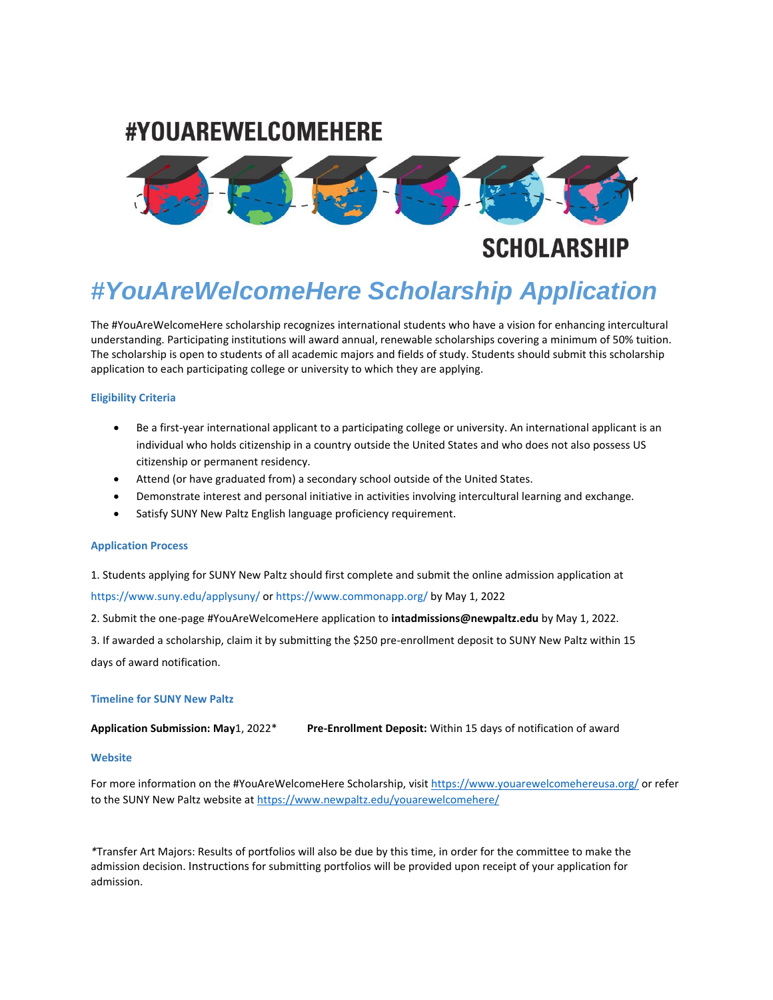## #YOUAREWELCOMEHERE



# *#YouAreWelcomeHere Scholarship Application*

The #YouAreWelcomeHere scholarship recognizes international students who have a vision for enhancing intercultural understanding. Participating institutions will award annual, renewable scholarships covering a minimum of 50% tuition. The scholarship is open to students of all academic majors and fields of study. Students should submit this scholarship application to each participating college or university to which they are applying.

### **Eligibility Criteria**

- Be a first-year international applicant to a participating college or university. An international applicant is an individual who holds citizenship in a country outside the United States and who does not also possess US citizenship or permanent residency.
- Attend (or have graduated from) a secondary school outside of the United States.
- Demonstrate interest and personal initiative in activities involving intercultural learning and exchange.
- Satisfy SUNY New Paltz English language proficiency requirement.

### **Application Process**

1. Students applying for SUNY New Paltz should first complete and submit the online admission application at

https://www.suny.edu/applysuny/ or https://www.commonapp.org/ by May 1, 2022

2. Submit the one-page #YouAreWelcomeHere application to **intadmissions@newpaltz.edu** by May 1, 2022.

3. If awarded a scholarship, claim it by submitting the \$250 pre-enrollment deposit to SUNY New Paltz within 15 days of award notification.

### **Timeline for SUNY New Paltz**

**Application Submission: May**1, 2022\* **Pre-Enrollment Deposit:** Within 15 days of notification of award

### **Website**

For more information on the #YouAreWelcomeHere Scholarship, visit<https://www.youarewelcomehereusa.org/> or refer to the SUNY New Paltz website a[t https://www.newpaltz.edu/youarewelcomehere/](https://www.newpaltz.edu/youarewelcomehere/)

*\**Transfer Art Majors: Results of portfolios will also be due by this time, in order for the committee to make the admission decision. Instructions for submitting portfolios will be provided upon receipt of your application for admission.